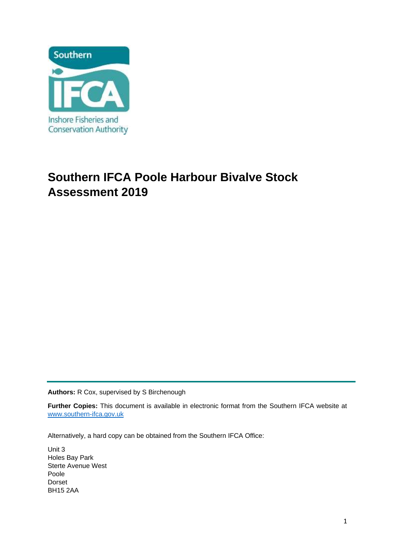

# **Southern IFCA Poole Harbour Bivalve Stock Assessment 2019**

**Authors:** R Cox, supervised by S Birchenough

**Further Copies:** This document is available in electronic format from the Southern IFCA website at [www.southern-ifca.gov.uk](http://www.southern-ifca.gov.uk/)

Alternatively, a hard copy can be obtained from the Southern IFCA Office:

Unit 3 Holes Bay Park Sterte Avenue West Poole Dorset BH15 2AA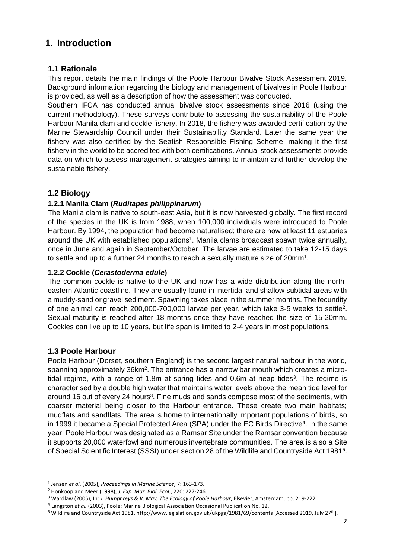# **1. Introduction**

### **1.1 Rationale**

This report details the main findings of the Poole Harbour Bivalve Stock Assessment 2019. Background information regarding the biology and management of bivalves in Poole Harbour is provided, as well as a description of how the assessment was conducted.

Southern IFCA has conducted annual bivalve stock assessments since 2016 (using the current methodology). These surveys contribute to assessing the sustainability of the Poole Harbour Manila clam and cockle fishery. In 2018, the fishery was awarded certification by the Marine Stewardship Council under their Sustainability Standard. Later the same year the fishery was also certified by the Seafish Responsible Fishing Scheme, making it the first fishery in the world to be accredited with both certifications. Annual stock assessments provide data on which to assess management strategies aiming to maintain and further develop the sustainable fishery.

## **1.2 Biology**

#### **1.2.1 Manila Clam (***Ruditapes philippinarum***)**

The Manila clam is native to south-east Asia, but it is now harvested globally. The first record of the species in the UK is from 1988, when 100,000 individuals were introduced to Poole Harbour. By 1994, the population had become naturalised; there are now at least 11 estuaries around the UK with established populations<sup>1</sup>. Manila clams broadcast spawn twice annually, once in June and again in September/October. The larvae are estimated to take 12-15 days to settle and up to a further 24 months to reach a sexually mature size of 20mm<sup>1</sup>.

#### **1.2.2 Cockle (***Cerastoderma edule***)**

The common cockle is native to the UK and now has a wide distribution along the northeastern Atlantic coastline. They are usually found in intertidal and shallow subtidal areas with a muddy-sand or gravel sediment. Spawning takes place in the summer months. The fecundity of one animal can reach 200,000-700,000 larvae per year, which take 3-5 weeks to settle<sup>2</sup>. Sexual maturity is reached after 18 months once they have reached the size of 15-20mm. Cockles can live up to 10 years, but life span is limited to 2-4 years in most populations.

## **1.3 Poole Harbour**

Poole Harbour (Dorset, southern England) is the second largest natural harbour in the world, spanning approximately 36km<sup>2</sup>. The entrance has a narrow bar mouth which creates a microtidal regime, with a range of 1.8m at spring tides and  $0.6$ m at neap tides<sup>3</sup>. The regime is characterised by a double high water that maintains water levels above the mean tide level for around 16 out of every 24 hours<sup>3</sup>. Fine muds and sands compose most of the sediments, with coarser material being closer to the Harbour entrance. These create two main habitats; mudflats and sandflats. The area is home to internationally important populations of birds, so in 1999 it became a Special Protected Area (SPA) under the EC Birds Directive<sup>4</sup>. In the same year, Poole Harbour was designated as a Ramsar Site under the Ramsar convention because it supports 20,000 waterfowl and numerous invertebrate communities. The area is also a Site of Special Scientific Interest (SSSI) under section 28 of the Wildlife and Countryside Act 1981<sup>5</sup>.

<sup>1</sup> Jensen *et al*. (2005), *Proceedings in Marine Science*, 7: 163-173.

<sup>2</sup> Honkoop and Meer (1998), *J. Exp. Mar. Biol. Ecol.*, 220: 227-246.

<sup>3</sup> Wardlaw (2005), In: *J. Humphreys & V. May, The Ecology of Poole Harbour*, Elsevier, Amsterdam, pp. 219-222.

<sup>&</sup>lt;sup>4</sup> Langston et al. (2003), Poole: Marine Biological Association Occasional Publication No. 12.

<sup>5</sup> Wildlife and Countryside Act 1981, http://www.legislation.gov.uk/ukpga/1981/69/contents [Accessed 2019, July 27th].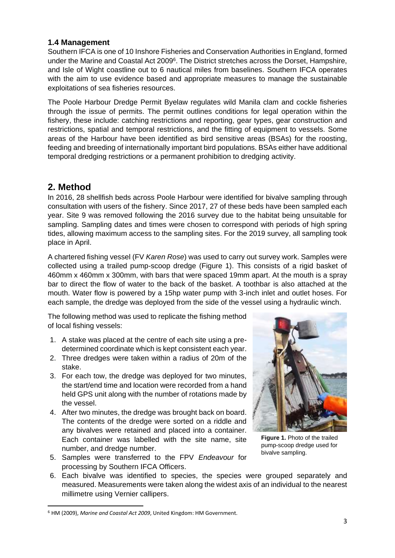#### **1.4 Management**

Southern IFCA is one of 10 Inshore Fisheries and Conservation Authorities in England, formed under the Marine and Coastal Act 2009<sup>6</sup>. The District stretches across the Dorset, Hampshire, and Isle of Wight coastline out to 6 nautical miles from baselines. Southern IFCA operates with the aim to use evidence based and appropriate measures to manage the sustainable exploitations of sea fisheries resources.

The Poole Harbour Dredge Permit Byelaw regulates wild Manila clam and cockle fisheries through the issue of permits. The permit outlines conditions for legal operation within the fishery, these include: catching restrictions and reporting, gear types, gear construction and restrictions, spatial and temporal restrictions, and the fitting of equipment to vessels. Some areas of the Harbour have been identified as bird sensitive areas (BSAs) for the roosting, feeding and breeding of internationally important bird populations. BSAs either have additional temporal dredging restrictions or a permanent prohibition to dredging activity.

## **2. Method**

In 2016, 28 shellfish beds across Poole Harbour were identified for bivalve sampling through consultation with users of the fishery. Since 2017, 27 of these beds have been sampled each year. Site 9 was removed following the 2016 survey due to the habitat being unsuitable for sampling. Sampling dates and times were chosen to correspond with periods of high spring tides, allowing maximum access to the sampling sites. For the 2019 survey, all sampling took place in April.

A chartered fishing vessel (FV *Karen Rose*) was used to carry out survey work. Samples were collected using a trailed pump-scoop dredge (Figure 1). This consists of a rigid basket of 460mm x 460mm x 300mm, with bars that were spaced 19mm apart. At the mouth is a spray bar to direct the flow of water to the back of the basket. A toothbar is also attached at the mouth. Water flow is powered by a 15hp water pump with 3-inch inlet and outlet hoses. For each sample, the dredge was deployed from the side of the vessel using a hydraulic winch.

The following method was used to replicate the fishing method of local fishing vessels:

- 1. A stake was placed at the centre of each site using a predetermined coordinate which is kept consistent each year.
- 2. Three dredges were taken within a radius of 20m of the stake.
- 3. For each tow, the dredge was deployed for two minutes, the start/end time and location were recorded from a hand held GPS unit along with the number of rotations made by the vessel.
- 4. After two minutes, the dredge was brought back on board. The contents of the dredge were sorted on a riddle and any bivalves were retained and placed into a container. Each container was labelled with the site name, site number, and dredge number.
- 5. Samples were transferred to the FPV *Endeavour* for processing by Southern IFCA Officers.



**Figure 1.** Photo of the trailed pump-scoop dredge used for bivalve sampling.

6. Each bivalve was identified to species, the species were grouped separately and measured. Measurements were taken along the widest axis of an individual to the nearest millimetre using Vernier callipers.

<sup>6</sup> HM (2009), *Marine and Coastal Act 2009*, United Kingdom: HM Government.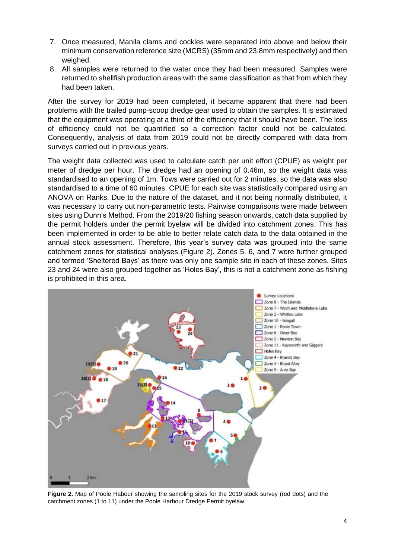- 7. Once measured, Manila clams and cockles were separated into above and below their minimum conservation reference size (MCRS) (35mm and 23.8mm respectively) and then weighed.
- 8. All samples were returned to the water once they had been measured. Samples were returned to shellfish production areas with the same classification as that from which they had been taken.

After the survey for 2019 had been completed, it became apparent that there had been problems with the trailed pump-scoop dredge gear used to obtain the samples. It is estimated that the equipment was operating at a third of the efficiency that it should have been. The loss of efficiency could not be quantified so a correction factor could not be calculated. Consequently, analysis of data from 2019 could not be directly compared with data from surveys carried out in previous years.

The weight data collected was used to calculate catch per unit effort (CPUE) as weight per meter of dredge per hour. The dredge had an opening of 0.46m, so the weight data was standardised to an opening of 1m. Tows were carried out for 2 minutes, so the data was also standardised to a time of 60 minutes. CPUE for each site was statistically compared using an ANOVA on Ranks. Due to the nature of the dataset, and it not being normally distributed, it was necessary to carry out non-parametric tests. Pairwise comparisons were made between sites using Dunn's Method. From the 2019/20 fishing season onwards, catch data supplied by the permit holders under the permit byelaw will be divided into catchment zones. This has been implemented in order to be able to better relate catch data to the data obtained in the annual stock assessment. Therefore, this year's survey data was grouped into the same catchment zones for statistical analyses (Figure 2). Zones 5, 6, and 7 were further grouped and termed 'Sheltered Bays' as there was only one sample site in each of these zones. Sites 23 and 24 were also grouped together as 'Holes Bay', this is not a catchment zone as fishing is prohibited in this area.



**Figure 2.** Map of Poole Habour showing the sampling sites for the 2019 stock survey (red dots) and the catchment zones (1 to 11) under the Poole Harbour Dredge Permit byelaw.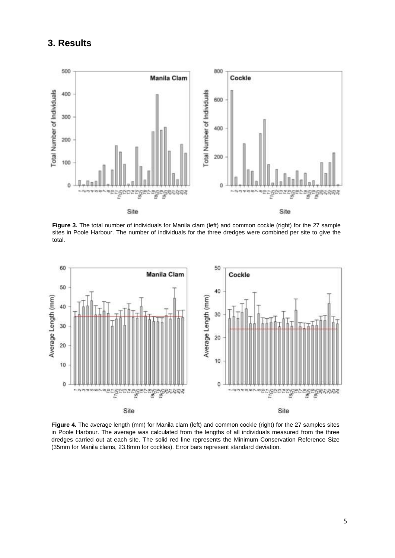## **3. Results**



**Figure 3.** The total number of individuals for Manila clam (left) and common cockle (right) for the 27 sample sites in Poole Harbour. The number of individuals for the three dredges were combined per site to give the total.



**Figure 4.** The average length (mm) for Manila clam (left) and common cockle (right) for the 27 samples sites in Poole Harbour. The average was calculated from the lengths of all individuals measured from the three dredges carried out at each site. The solid red line represents the Minimum Conservation Reference Size (35mm for Manila clams, 23.8mm for cockles). Error bars represent standard deviation.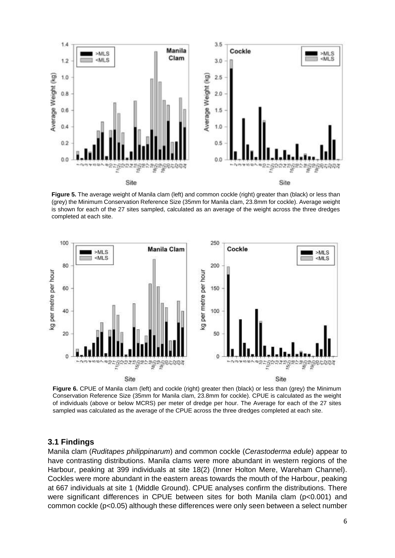

**Figure 5.** The average weight of Manila clam (left) and common cockle (right) greater than (black) or less than (grey) the Minimum Conservation Reference Size (35mm for Manila clam, 23.8mm for cockle). Average weight is shown for each of the 27 sites sampled, calculated as an average of the weight across the three dredges completed at each site.



**Figure 6.** CPUE of Manila clam (left) and cockle (right) greater then (black) or less than (grey) the Minimum Conservation Reference Size (35mm for Manila clam, 23.8mm for cockle). CPUE is calculated as the weight of individuals (above or below MCRS) per meter of dredge per hour. The Average for each of the 27 sites sampled was calculated as the average of the CPUE across the three dredges completed at each site.

#### **3.1 Findings**

Manila clam (*Ruditapes philippinarum*) and common cockle (*Cerastoderma edule*) appear to have contrasting distributions. Manila clams were more abundant in western regions of the Harbour, peaking at 399 individuals at site 18(2) (Inner Holton Mere, Wareham Channel). Cockles were more abundant in the eastern areas towards the mouth of the Harbour, peaking at 667 individuals at site 1 (Middle Ground). CPUE analyses confirm the distributions. There were significant differences in CPUE between sites for both Manila clam (p<0.001) and common cockle (p<0.05) although these differences were only seen between a select number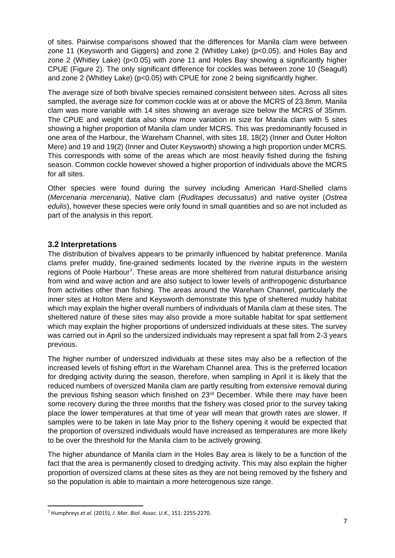of sites. Pairwise comparisons showed that the differences for Manila clam were between zone 11 (Keysworth and Giggers) and zone 2 (Whitley Lake) (p<0.05), and Holes Bay and zone 2 (Whitley Lake) (p<0.05) with zone 11 and Holes Bay showing a significantly higher CPUE (Figure 2). The only significant difference for cockles was between zone 10 (Seagull) and zone 2 (Whitley Lake) (p<0.05) with CPUE for zone 2 being significantly higher.

The average size of both bivalve species remained consistent between sites. Across all sites sampled, the average size for common cockle was at or above the MCRS of 23.8mm. Manila clam was more variable with 14 sites showing an average size below the MCRS of 35mm. The CPUE and weight data also show more variation in size for Manila clam with 5 sites showing a higher proportion of Manila clam under MCRS. This was predominantly focused in one area of the Harbour, the Wareham Channel, with sites 18, 18(2) (Inner and Outer Holton Mere) and 19 and 19(2) (Inner and Outer Keysworth) showing a high proportion under MCRS. This corresponds with some of the areas which are most heavily fished during the fishing season. Common cockle however showed a higher proportion of individuals above the MCRS for all sites.

Other species were found during the survey including American Hard-Shelled clams (*Mercenaria mercenaria*), Native clam (*Ruditapes decussatus*) and native oyster (*Ostrea edulis*), however these species were only found in small quantities and so are not included as part of the analysis in this report.

#### **3.2 Interpretations**

The distribution of bivalves appears to be primarily influenced by habitat preference. Manila clams prefer muddy, fine-grained sediments located by the riverine inputs in the western regions of Poole Harbour<sup>7</sup>. These areas are more sheltered from natural disturbance arising from wind and wave action and are also subject to lower levels of anthropogenic disturbance from activities other than fishing. The areas around the Wareham Channel, particularly the inner sites at Holton Mere and Keysworth demonstrate this type of sheltered muddy habitat which may explain the higher overall numbers of individuals of Manila clam at these sites. The sheltered nature of these sites may also provide a more suitable habitat for spat settlement which may explain the higher proportions of undersized individuals at these sites. The survey was carried out in April so the undersized individuals may represent a spat fall from 2-3 years previous.

The higher number of undersized individuals at these sites may also be a reflection of the increased levels of fishing effort in the Wareham Channel area. This is the preferred location for dredging activity during the season, therefore, when sampling in April it is likely that the reduced numbers of oversized Manila clam are partly resulting from extensive removal during the previous fishing season which finished on 23<sup>rd</sup> December. While there may have been some recovery during the three months that the fishery was closed prior to the survey taking place the lower temperatures at that time of year will mean that growth rates are slower. If samples were to be taken in late May prior to the fishery opening it would be expected that the proportion of oversized individuals would have increased as temperatures are more likely to be over the threshold for the Manila clam to be actively growing.

The higher abundance of Manila clam in the Holes Bay area is likely to be a function of the fact that the area is permanently closed to dredging activity. This may also explain the higher proportion of oversized clams at these sites as they are not being removed by the fishery and so the population is able to maintain a more heterogenous size range.

<sup>7</sup> Humphreys *et al.* (2015), *J. Mar. Biol. Assoc. U.K.*, 151: 2255-2270.